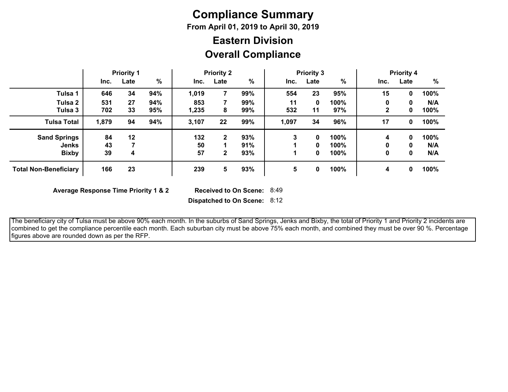# **Compliance Summary**

**From April 01, 2019 to April 30, 2019**

## **Overall Compliance Eastern Division**

|                              | <b>Priority 1</b> |      | <b>Priority 2</b> |       |              | <b>Priority 3</b> |       |      |      | <b>Priority 4</b> |      |      |
|------------------------------|-------------------|------|-------------------|-------|--------------|-------------------|-------|------|------|-------------------|------|------|
|                              | Inc.              | Late | %                 | Inc.  | Late         | %                 | Inc.  | Late | %    | Inc.              | Late | %    |
| Tulsa 1                      | 646               | 34   | 94%               | 1,019 |              | 99%               | 554   | 23   | 95%  | 15                | 0    | 100% |
| Tulsa 2                      | 531               | 27   | 94%               | 853   |              | 99%               | 11    | 0    | 100% | 0                 | 0    | N/A  |
| Tulsa 3                      | 702               | 33   | 95%               | 1,235 | 8            | 99%               | 532   | 11   | 97%  | 2                 | 0    | 100% |
| <b>Tulsa Total</b>           | 1,879             | 94   | 94%               | 3,107 | 22           | 99%               | 1,097 | 34   | 96%  | 17                | 0    | 100% |
| <b>Sand Springs</b>          | 84                | 12   |                   | 132   | $\mathbf{2}$ | 93%               | 3     | 0    | 100% | 4                 | 0    | 100% |
| <b>Jenks</b>                 | 43                |      |                   | 50    |              | 91%               |       | 0    | 100% | 0                 | 0    | N/A  |
| <b>Bixby</b>                 | 39                | 4    |                   | 57    | $\mathbf{2}$ | 93%               |       | 0    | 100% | 0                 | 0    | N/A  |
| <b>Total Non-Beneficiary</b> | 166               | 23   |                   | 239   | 5            | 93%               | 5     | 0    | 100% | 4                 | 0    | 100% |

**Average Response Time Priority 1 & 2** 

Received to On Scene: 8:49

**Dispatched to On Scene:** 8:12

 The beneficiary city of Tulsa must be above 90% each month. In the suburbs of Sand Springs, Jenks and Bixby, the total of Priority 1 and Priority 2 incidents are combined to get the compliance percentile each month. Each suburban city must be above 75% each month, and combined they must be over 90 %. Percentage figures above are rounded down as per the RFP.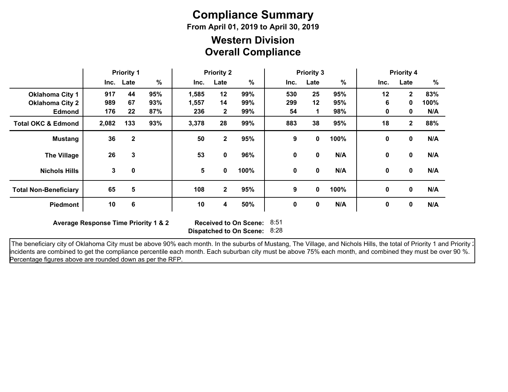# **Compliance Summary**

**From April 01, 2019 to April 30, 2019**

### **Overall Compliance Western Division**

|                               | <b>Priority 1</b> |           | <b>Priority 2</b> |                 |              | <b>Priority 3</b> |      |              |      | <b>Priority 4</b><br>%<br>Late<br>Inc. |                |      |
|-------------------------------|-------------------|-----------|-------------------|-----------------|--------------|-------------------|------|--------------|------|----------------------------------------|----------------|------|
|                               |                   | Inc. Late | %                 | Inc.            | Late         | $\%$              | Inc. | Late         | %    |                                        |                |      |
| <b>Oklahoma City 1</b>        | 917               | 44        | 95%               | 1,585           | 12           | 99%               | 530  | 25           | 95%  | 12                                     | $\mathbf{2}$   | 83%  |
| <b>Oklahoma City 2</b>        | 989               | 67        | 93%               | 1,557           | 14           | 99%               | 299  | 12           | 95%  | 6                                      | 0              | 100% |
| <b>Edmond</b>                 | 176               | 22        | 87%               | 236             | $\mathbf{2}$ | 99%               | 54   | 1            | 98%  | 0                                      | 0              | N/A  |
| <b>Total OKC &amp; Edmond</b> | 2,082             | 133       | 93%               | 3,378           | 28           | 99%               | 883  | 38           | 95%  | 18                                     | $\overline{2}$ | 88%  |
| <b>Mustang</b>                | 36                | 2         |                   | 50              | $\mathbf{2}$ | 95%               | 9    | 0            | 100% | $\mathbf 0$                            | $\mathbf 0$    | N/A  |
| <b>The Village</b>            | 26                | 3         |                   | 53              | 0            | 96%               | 0    | 0            | N/A  | 0                                      | 0              | N/A  |
| <b>Nichols Hills</b>          | 3                 | 0         |                   | $5\phantom{.0}$ | 0            | 100%              | 0    | $\mathbf{0}$ | N/A  | 0                                      | 0              | N/A  |
| <b>Total Non-Beneficiary</b>  | 65                | 5         |                   | 108             | $\mathbf{2}$ | 95%               | 9    | 0            | 100% | 0                                      | $\mathbf 0$    | N/A  |
| <b>Piedmont</b>               | 10                | 6         |                   | 10              | 4            | 50%               | 0    | 0            | N/A  | 0                                      | 0              | N/A  |

**Average Response Time Priority 1 & 2** 

**Dispatched to On Scene:** 8:28 Received to On Scene: 8:51

The beneficiary city of Oklahoma City must be above 90% each month. In the suburbs of Mustang, The Village, and Nichols Hills, the total of Priority 1 and Priority 2 incidents are combined to get the compliance percentile each month. Each suburban city must be above 75% each month, and combined they must be over 90 %. Percentage figures above are rounded down as per the RFP.